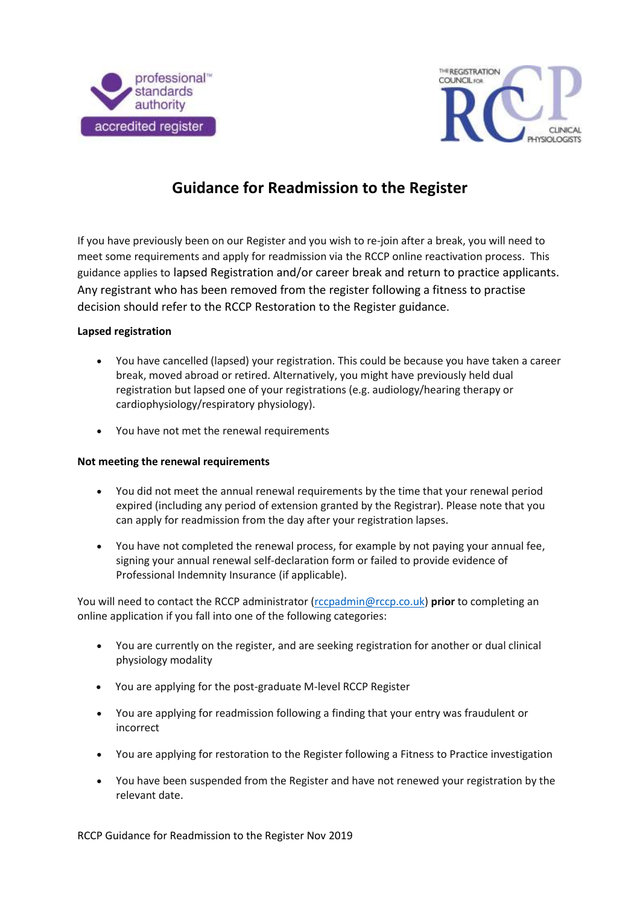



# **Guidance for Readmission to the Register**

If you have previously been on our Register and you wish to re-join after a break, you will need to meet some requirements and apply for readmission via the RCCP online reactivation process. This guidance applies to lapsed Registration and/or career break and return to practice applicants. Any registrant who has been removed from the register following a fitness to practise decision should refer to the RCCP Restoration to the Register guidance.

### **Lapsed registration**

- You have cancelled (lapsed) your registration. This could be because you have taken a career break, moved abroad or retired. Alternatively, you might have previously held dual registration but lapsed one of your registrations (e.g. audiology/hearing therapy or cardiophysiology/respiratory physiology).
- You have not met the renewal requirements

#### **Not meeting the renewal requirements**

- You did not meet the annual renewal requirements by the time that your renewal period expired (including any period of extension granted by the Registrar). Please note that you can apply for readmission from the day after your registration lapses.
- You have not completed the renewal process, for example by not paying your annual fee, signing your annual renewal self-declaration form or failed to provide evidence of Professional Indemnity Insurance (if applicable).

You will need to contact the RCCP administrator [\(rccpadmin@rccp.co.uk\)](mailto:rccpadmin@rccp.co.uk) **prior** to completing an online application if you fall into one of the following categories:

- You are currently on the register, and are seeking registration for another or dual clinical physiology modality
- You are applying for the post-graduate M-level RCCP Register
- You are applying for readmission following a finding that your entry was fraudulent or incorrect
- You are applying for restoration to the Register following a Fitness to Practice investigation
- You have been suspended from the Register and have not renewed your registration by the relevant date.

RCCP Guidance for Readmission to the Register Nov 2019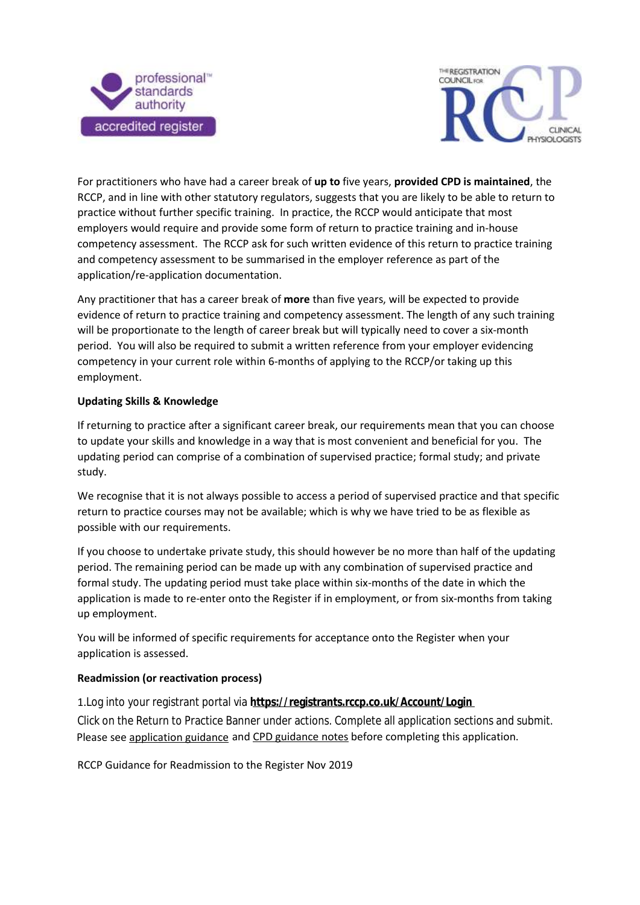



For practitioners who have had a career break of **up to** five years, **provided CPD is maintained**, the RCCP, and in line with other statutory regulators, suggests that you are likely to be able to return to practice without further specific training. In practice, the RCCP would anticipate that most employers would require and provide some form of return to practice training and in-house competency assessment. The RCCP ask for such written evidence of this return to practice training and competency assessment to be summarised in the employer reference as part of the application/re-application documentation.

Any practitioner that has a career break of **more** than five years, will be expected to provide evidence of return to practice training and competency assessment. The length of any such training will be proportionate to the length of career break but will typically need to cover a six-month period. You will also be required to submit a written reference from your employer evidencing competency in your current role within 6-months of applying to the RCCP/or taking up this employment.

## **Updating Skills & Knowledge**

If returning to practice after a significant career break, our requirements mean that you can choose to update your skills and knowledge in a way that is most convenient and beneficial for you. The updating period can comprise of a combination of supervised practice; formal study; and private study.

We recognise that it is not always possible to access a period of supervised practice and that specific return to practice courses may not be available; which is why we have tried to be as flexible as possible with our requirements.

If you choose to undertake private study, this should however be no more than half of the updating period. The remaining period can be made up with any combination of supervised practice and formal study. The updating period must take place within six-months of the date in which the application is made to re-enter onto the Register if in employment, or from six-months from taking up employment.

You will be informed of specific requirements for acceptance onto the Register when your application is assessed.

## **Readmission (or reactivation process)**

1.Log into your registrant portal via **<https://registrants.rccp.co.uk/Account/Login>** Click on the Return to Practice Banner under actions. Complete all application sections and submit. Please see [application guidance](https://rccp.co.uk/media/gotbdhov/rccp-guidance-for-application-pathways.pdf) and [CPD guidance notes](https://rccp.co.uk/registrants/continuing-professional-development-cpd/) before completing this application.

RCCP Guidance for Readmission to the Register Nov 2019